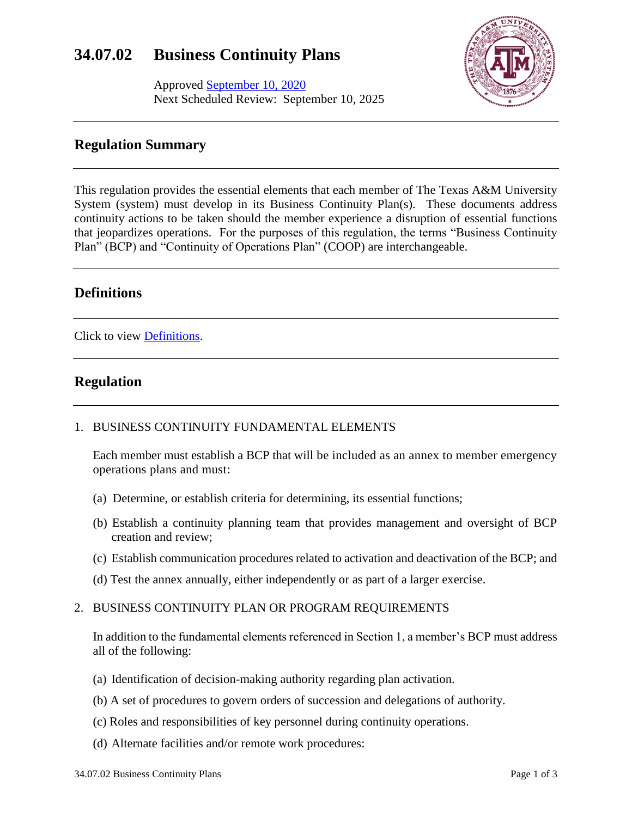# **34.07.02 Business Continuity Plans**

Approved September 10, 2020 Next Scheduled Review: September 10, 2025



## **Regulation Summary**

This regulation provides the essential elements that each member of The Texas A&M University System (system) must develop in its Business Continuity Plan(s). These documents address continuity actions to be taken should the member experience a disruption of essential functions that jeopardizes operations. For the purposes of this regulation, the terms "Business Continuity Plan" (BCP) and "Continuity of Operations Plan" (COOP) are interchangeable.

## **Definitions**

Click to view [Definitions.](https://assets.system.tamus.edu/files/policy/pdf/definitions/34-07-02-Definitions.pdf)

# **Regulation**

### 1. BUSINESS CONTINUITY FUNDAMENTAL ELEMENTS

Each member must establish a BCP that will be included as an annex to member emergency operations plans and must:

- (a) Determine, or establish criteria for determining, its essential functions;
- (b) Establish a continuity planning team that provides management and oversight of BCP creation and review;
- (c) Establish communication procedures related to activation and deactivation of the BCP; and
- (d) Test the annex annually, either independently or as part of a larger exercise.

#### 2. BUSINESS CONTINUITY PLAN OR PROGRAM REQUIREMENTS

In addition to the fundamental elements referenced in Section 1, a member's BCP must address all of the following:

- (a) Identification of decision-making authority regarding plan activation.
- (b) A set of procedures to govern orders of succession and delegations of authority.
- (c) Roles and responsibilities of key personnel during continuity operations.
- (d) Alternate facilities and/or remote work procedures: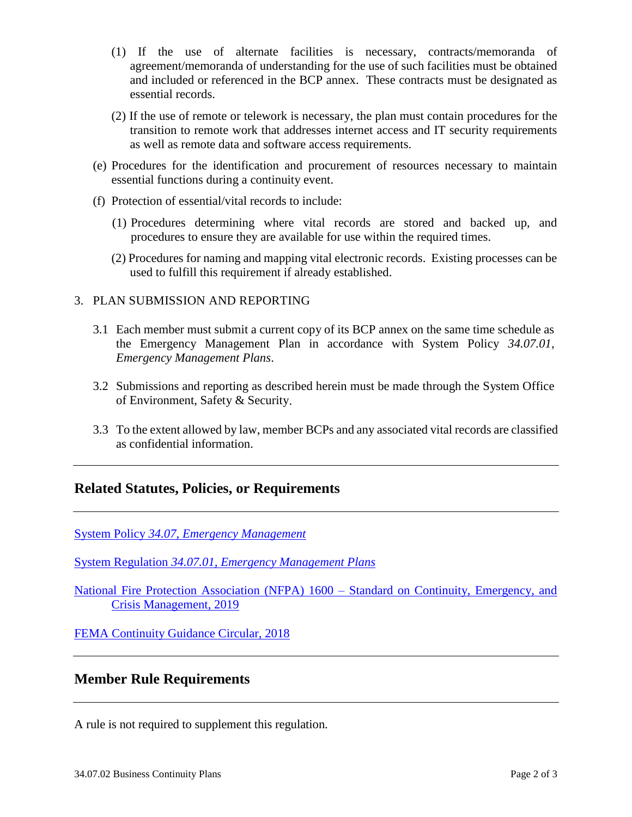- (1) If the use of alternate facilities is necessary, contracts/memoranda of agreement/memoranda of understanding for the use of such facilities must be obtained and included or referenced in the BCP annex. These contracts must be designated as essential records.
- (2) If the use of remote or telework is necessary, the plan must contain procedures for the transition to remote work that addresses internet access and IT security requirements as well as remote data and software access requirements.
- (e) Procedures for the identification and procurement of resources necessary to maintain essential functions during a continuity event.
- (f) Protection of essential/vital records to include:
	- (1) Procedures determining where vital records are stored and backed up, and procedures to ensure they are available for use within the required times.
	- (2) Procedures for naming and mapping vital electronic records. Existing processes can be used to fulfill this requirement if already established.

#### 3. PLAN SUBMISSION AND REPORTING

- 3.1 Each member must submit a current copy of its BCP annex on the same time schedule as the Emergency Management Plan in accordance with System Policy *34.07.01, Emergency Management Plans*.
- 3.2 Submissions and reporting as described herein must be made through the System Office of Environment, Safety & Security.
- 3.3 To the extent allowed by law, member BCPs and any associated vital records are classified as confidential information.

### **Related Statutes, Policies, or Requirements**

System Policy *[34.07, Emergency Management](http://policies.tamus.edu/34-07.pdf)*

System Regulation *[34.07.01, Emergency Management Plans](http://policies.tamus.edu/34-07-01.pdf)*

[National Fire Protection Association \(NFPA\) 1600 –](https://www.nfpa.org/codes-and-standards/all-codes-and-standards/list-of-codes-and-standards/detail?code=1600) Standard on Continuity, Emergency, and [Crisis Management, 2019](https://www.nfpa.org/codes-and-standards/all-codes-and-standards/list-of-codes-and-standards/detail?code=1600)

[FEMA Continuity Guidance Circular, 2018](https://www.fema.gov/media-library-data/1520878493235-1b9685b2d01d811abfd23da960d45e4f/ContinuityGuidanceCircularMarch2018.pdf)

### **Member Rule Requirements**

A rule is not required to supplement this regulation.